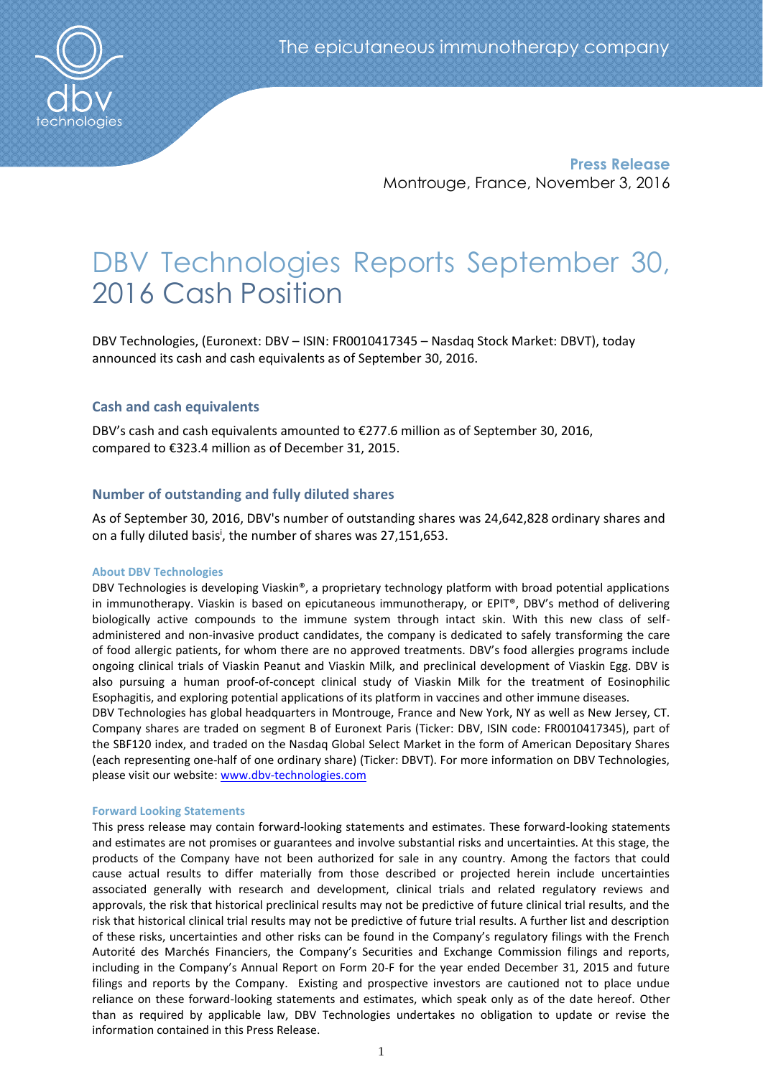

**Press Release** Montrouge, France, November 3, 2016

# DBV Technologies Reports September 30, 2016 Cash Position

DBV Technologies, (Euronext: DBV – ISIN: FR0010417345 – Nasdaq Stock Market: DBVT), today announced its cash and cash equivalents as of September 30, 2016.

## **Cash and cash equivalents**

DBV's cash and cash equivalents amounted to €277.6 million as of September 30, 2016, compared to €323.4 million as of December 31, 2015.

## **Number of outstanding and fully diluted shares**

As of September 30, 2016, DBV's number of outstanding shares was 24,642,828 ordinary shares and on a fully diluted basis<sup>i</sup>, the number of shares was 27,151,653.

### **About DBV Technologies**

DBV Technologies is developing Viaskin®, a proprietary technology platform with broad potential applications in immunotherapy. Viaskin is based on epicutaneous immunotherapy, or EPIT®, DBV's method of delivering biologically active compounds to the immune system through intact skin. With this new class of selfadministered and non-invasive product candidates, the company is dedicated to safely transforming the care of food allergic patients, for whom there are no approved treatments. DBV's food allergies programs include ongoing clinical trials of Viaskin Peanut and Viaskin Milk, and preclinical development of Viaskin Egg. DBV is also pursuing a human proof-of-concept clinical study of Viaskin Milk for the treatment of Eosinophilic Esophagitis, and exploring potential applications of its platform in vaccines and other immune diseases.

DBV Technologies has global headquarters in Montrouge, France and New York, NY as well as New Jersey, CT. Company shares are traded on segment B of Euronext Paris (Ticker: DBV, ISIN code: FR0010417345), part of the SBF120 index, and traded on the Nasdaq Global Select Market in the form of American Depositary Shares (each representing one-half of one ordinary share) (Ticker: DBVT). For more information on DBV Technologies, please visit our website: [www.dbv-technologies.com](http://www.dbv-technologies.com/)

### **Forward Looking Statements**

This press release may contain forward-looking statements and estimates. These forward-looking statements and estimates are not promises or guarantees and involve substantial risks and uncertainties. At this stage, the products of the Company have not been authorized for sale in any country. Among the factors that could cause actual results to differ materially from those described or projected herein include uncertainties associated generally with research and development, clinical trials and related regulatory reviews and approvals, the risk that historical preclinical results may not be predictive of future clinical trial results, and the risk that historical clinical trial results may not be predictive of future trial results. A further list and description of these risks, uncertainties and other risks can be found in the Company's regulatory filings with the French Autorité des Marchés Financiers, the Company's Securities and Exchange Commission filings and reports, including in the Company's Annual Report on Form 20-F for the year ended December 31, 2015 and future filings and reports by the Company. Existing and prospective investors are cautioned not to place undue reliance on these forward-looking statements and estimates, which speak only as of the date hereof. Other than as required by applicable law, DBV Technologies undertakes no obligation to update or revise the information contained in this Press Release.